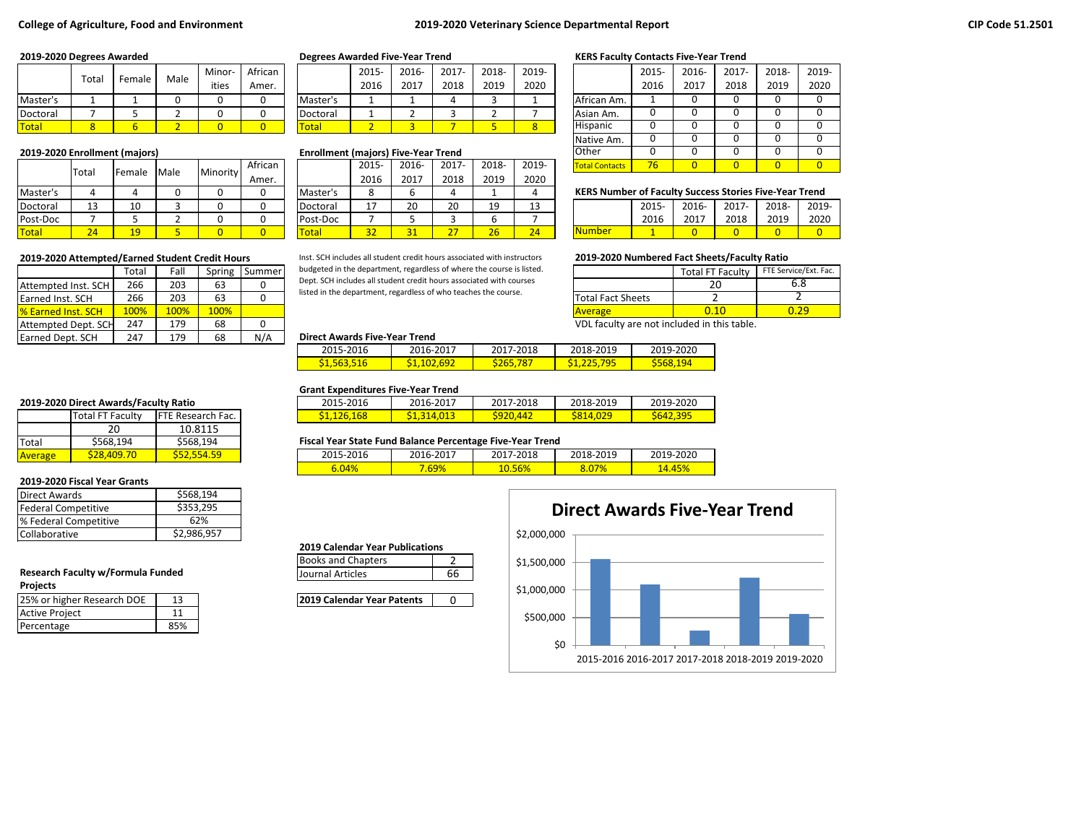## **College of Agriculture, Food and Environment 2019-2020 Veterinary Science Departmental Report**

|              | Total | Female | Male | Minor | African |                  | 2015- | 2016- | 2017- | 2018- | 2019-          |             | 2015- | 2016 | 2017- | 2018- | 201             |
|--------------|-------|--------|------|-------|---------|------------------|-------|-------|-------|-------|----------------|-------------|-------|------|-------|-------|-----------------|
|              |       |        |      | ities | Amer.   |                  | 2016  | 2017  | 2018  | 2019  | 2020           |             | 2016  | 2017 | 2018  | 2019  | 20 <sub>i</sub> |
| Master's     |       |        |      |       |         | Master's         |       |       |       |       |                | African Am. |       |      |       |       |                 |
| Doctoral     |       |        |      |       |         | <b>IDoctoral</b> |       |       |       |       |                | Asian Am.   |       |      |       |       |                 |
| <b>Total</b> |       |        |      |       |         | Total            |       |       |       |       | <b>Service</b> | Hispanic    |       |      |       |       |                 |

|              | <b>Total</b> | Female | Male | Minority | African |              | 2015     | 2016- | 2017- | 2018-    | 2019- | <b>Total Contacts</b>                                         | 76    |       |       |       |       |
|--------------|--------------|--------|------|----------|---------|--------------|----------|-------|-------|----------|-------|---------------------------------------------------------------|-------|-------|-------|-------|-------|
|              |              |        |      |          | Amer.   |              | 2016     | 2017  | 2018  | 2019     | 2020  |                                                               |       |       |       |       |       |
| Master's     |              |        |      |          |         | l Master's   |          |       |       |          |       | <b>KERS Number of Faculty Success Stories Five-Year Trend</b> |       |       |       |       |       |
| Doctoral     | 12<br>ᅩ      | 10     |      |          |         | Doctoral     | <b>+</b> | 20    | 20    | 10<br>-- |       |                                                               | 2015- | 2016- | 2017- | 2018- | 2019- |
| Post-Doc     |              |        |      |          |         | Post-Doc     |          |       |       |          |       |                                                               | 2016  | 2017  | 2018  | 2019  | 2020  |
| <b>Total</b> |              | 10     |      |          |         | <b>Total</b> | 32       |       | 77    | 26       | 24    | <b>Number</b>                                                 |       |       |       |       |       |

|                            | Total | Fall | Spring | Summer | budgeted in the department, regardless of where the course is listed. |                          |
|----------------------------|-------|------|--------|--------|-----------------------------------------------------------------------|--------------------------|
| Attempted Inst. SCH        | 266   | 203  | 63     |        | Dept. SCH includes all student credit hours associated with courses   |                          |
| <b>Earned Inst. SCH</b>    | 266   | 203  | 63     |        | listed in the department, regardless of who teaches the course.       | <b>Total Fact Sheets</b> |
| <b>1% Earned Inst. SCH</b> | 100%  | 100% | 100%   |        |                                                                       | <b>Average</b>           |
| Attempted Dept. SCH        | 247   | 179  | 68     |        |                                                                       | VDL faculty are n        |
| <b>Earned Dept. SCH</b>    | 247   | 179  | 68     | N/A    | <b>Direct Awards Five-Year Trend</b>                                  |                          |

|          | $2015 -$ | $2016 -$ | $2017 -$ | 2018- | 2019- |
|----------|----------|----------|----------|-------|-------|
|          | 2016     | 2017     | 2018     | 2019  | 2020  |
| Master's |          |          |          |       |       |
| Doctoral |          |          |          |       |       |
| otal     |          |          |          |       |       |

### **2019-2020 Enrollment (majors) Enrollment (majors) Five-Year Trend**

|          | 2015- | 2016- | $2017 -$ | 2018- | 2019- |
|----------|-------|-------|----------|-------|-------|
|          | 2016  | 2017  | 2018     | 2019  | 2020  |
| Master's |       |       |          |       |       |
| Doctoral | 17    | 20    | 20       | 19    | 13    |
| Post-Doc |       |       |          |       |       |
| 'otal    | 32    | 31    | דר       | 26    | 24    |

**2019-2020 Attempted/Earned Student Credit Hours 2019-2020 Numbered Fact Sheets/Faculty Ratio** Inst. SCH includes all student credit hours associated with instructors budgeted in the department, regardless of where the course is listed. Dept. SCH includes all student credit hours associated with courses

### **2019-2020 Degrees Awarded Degrees Awarded Five-Year Trend KERS Faculty Contacts Five-Year Trend**

|                       | 2015- | 2016- | $2017 -$ | 2018- | 2019- |
|-----------------------|-------|-------|----------|-------|-------|
|                       | 2016  | 2017  | 2018     | 2019  | 2020  |
| African Am.           |       |       |          |       |       |
| Asian Am.             |       | 0     |          |       |       |
| Hispanic              |       | 0     | 0        |       |       |
| Native Am.            |       | ი     | ი        |       |       |
| Other                 |       | Ω     |          |       |       |
| <b>Total Contacts</b> | 76    |       |          |       |       |

### **KERS Number of Faculty Success Stories Five-Year Trend**

|         | $2015 -$ | 2016- | $2017 -$ | 2018- | 2019- |
|---------|----------|-------|----------|-------|-------|
|         | 2016     | 2017  | 2018     | 2019  | 2020  |
| lNumber |          |       |          |       |       |

|                          | <b>Total FT Faculty</b> | FTE Service/Ext. Fac. |
|--------------------------|-------------------------|-----------------------|
|                          |                         | 6.8                   |
| <b>Total Fact Sheets</b> |                         |                       |
| Average                  |                         |                       |
| .                        |                         |                       |

VDL faculty are not included in this table.

### **Direct Awards Five-Year Trend**

| 2015-2016 | 2016-2017        | 2017-2018 | 2018-2019 | 2019-2020 |
|-----------|------------------|-----------|-----------|-----------|
| 516       | <u>1.102.692</u> | 78.       | .795      | 194       |
| 51,563,5  |                  | S265,7    | - 775 -   | `568      |

### **Grant Expenditures Five-Year Trend**

| 2015-2016          | 2016-2017         | 2017-2018 | 2018-2019       | 2019-2020 |
|--------------------|-------------------|-----------|-----------------|-----------|
| <u>\$1,126,168</u> | <u>51,314,013</u> | S920.442  | <b>S814,029</b> | \$642,395 |

### **Fiscal Year State Fund Balance Percentage Five-Year Trend**

| <u>\$52,554.59</u> | 2015-2016 | 2016-2017 | 2017-2018 | 2018-2019 | 2019-2020 |
|--------------------|-----------|-----------|-----------|-----------|-----------|
|                    | $6.04\%$  | .69%      | 10.56%    | 8.07%     | 14.45%    |

### **2019 Calendar Year Publications** Books and Chapters 2

| Journal Articles |  |
|------------------|--|

**2019 Calendar Year Patents** 0



### **2019-2020 Direct Awards/Faculty Ratio**

|                | Total FT Faculty        | <b>IFTE Research Fac.</b> |  |  |  |
|----------------|-------------------------|---------------------------|--|--|--|
|                | 20                      | 10.8115                   |  |  |  |
| <b>Total</b>   | \$568,194               | \$568,194                 |  |  |  |
| <b>Average</b> | S <sub>28</sub> .409.70 | \$52.554.59               |  |  |  |

#### **2019-2020 Fiscal Year Grants**

| Direct Awards         | \$568,194   |
|-----------------------|-------------|
| Federal Competitive   | \$353,295   |
| % Federal Competitive | 62%         |
| <b>Collaborative</b>  | \$2,986,957 |

### **Research Faculty w/Formula Funded 1998 10 September 10 September 2016 10 September 2016 10 September 2016 10 September 2016 10 September 2016 10 September 2016 10 September 2016 10 September 2016 10 September 2016 10 Sept Projects**

| 25% or higher Research DOE | 13  |
|----------------------------|-----|
| <b>Active Project</b>      |     |
| Percentage                 | 85% |